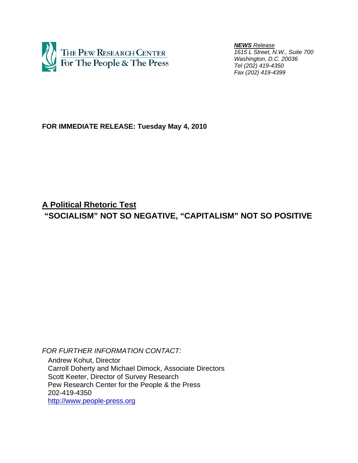

 *NEWS Release 1615 L Street, N.W., Suite 700 Washington, D.C. 20036 Tel (202) 419-4350 Fax (202) 419-4399*

**FOR IMMEDIATE RELEASE: Tuesday May 4, 2010** 

**A Political Rhetoric Test "SOCIALISM" NOT SO NEGATIVE, "CAPITALISM" NOT SO POSITIVE** 

*FOR FURTHER INFORMATION CONTACT:* 

 Andrew Kohut, Director Carroll Doherty and Michael Dimock, Associate Directors Scott Keeter, Director of Survey Research Pew Research Center for the People & the Press 202-419-4350 http://www.people-press.org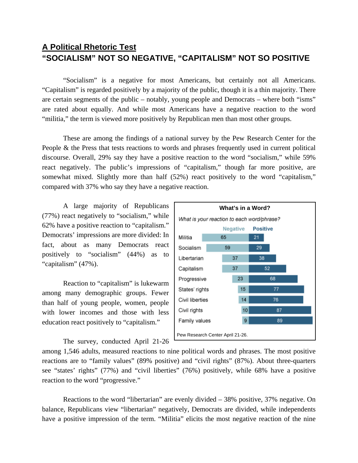# **A Political Rhetoric Test "SOCIALISM" NOT SO NEGATIVE, "CAPITALISM" NOT SO POSITIVE**

"Socialism" is a negative for most Americans, but certainly not all Americans. "Capitalism" is regarded positively by a majority of the public, though it is a thin majority. There are certain segments of the public – notably, young people and Democrats – where both "isms" are rated about equally. And while most Americans have a negative reaction to the word "militia," the term is viewed more positively by Republican men than most other groups.

These are among the findings of a national survey by the Pew Research Center for the People & the Press that tests reactions to words and phrases frequently used in current political discourse. Overall, 29% say they have a positive reaction to the word "socialism," while 59% react negatively. The public's impressions of "capitalism," though far more positive, are somewhat mixed. Slightly more than half (52%) react positively to the word "capitalism," compared with 37% who say they have a negative reaction.

 A large majority of Republicans (77%) react negatively to "socialism," while 62% have a positive reaction to "capitalism." Democrats' impressions are more divided: In fact, about as many Democrats react positively to "socialism" (44%) as to "capitalism" (47%).

Reaction to "capitalism" is lukewarm among many demographic groups. Fewer than half of young people, women, people with lower incomes and those with less education react positively to "capitalism."

The survey, conducted April 21-26



among 1,546 adults, measured reactions to nine political words and phrases. The most positive reactions are to "family values" (89% positive) and "civil rights" (87%). About three-quarters see "states' rights" (77%) and "civil liberties" (76%) positively, while 68% have a positive reaction to the word "progressive."

 Reactions to the word "libertarian" are evenly divided – 38% positive, 37% negative. On balance, Republicans view "libertarian" negatively, Democrats are divided, while independents have a positive impression of the term. "Militia" elicits the most negative reaction of the nine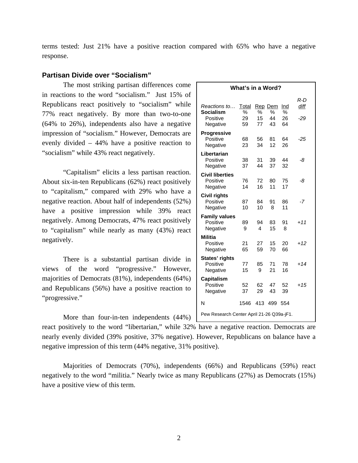terms tested: Just 21% have a positive reaction compared with 65% who have a negative response.

# **Partisan Divide over "Socialism"**

The most striking partisan differences come in reactions to the word "socialism." Just 15% of Republicans react positively to "socialism" while 77% react negatively. By more than two-to-one (64% to 26%), independents also have a negative impression of "socialism." However, Democrats are evenly divided – 44% have a positive reaction to "socialism" while 43% react negatively.

 "Capitalism" elicits a less partisan reaction. About six-in-ten Republicans (62%) react positively to "capitalism," compared with 29% who have a negative reaction. About half of independents (52%) have a positive impression while 39% react negatively. Among Democrats, 47% react positively to "capitalism" while nearly as many (43%) react negatively.

 There is a substantial partisan divide in views of the word "progressive." However, majorities of Democrats (81%), independents (64%) and Republicans (56%) have a positive reaction to "progressive."

More than four-in-ten independents (44%)

react positively to the word "libertarian," while 32% have a negative reaction. Democrats are nearly evenly divided (39% positive, 37% negative). However, Republicans on balance have a negative impression of this term (44% negative, 31% positive).

Majorities of Democrats (70%), independents (66%) and Republicans (59%) react negatively to the word "militia." Nearly twice as many Republicans (27%) as Democrats (15%) have a positive view of this term.

| What's in a Word?                                        |                        |               |                          |                      |                    |  |  |
|----------------------------------------------------------|------------------------|---------------|--------------------------|----------------------|--------------------|--|--|
| Reactions to<br><b>Socialism</b><br>Positive<br>Negative | Total<br>%<br>29<br>59 | %<br>15<br>77 | Rep Dem<br>%<br>44<br>43 | Ind<br>%<br>26<br>64 | R-D<br>diff<br>-29 |  |  |
| <b>Progressive</b><br>Positive<br>Negative               | 68<br>23               | 56<br>34      | 81<br>12                 | 64<br>26             | -25                |  |  |
| Libertarian<br>Positive<br>Negative                      | 38<br>37               | 31<br>44      | 39<br>37                 | 44<br>32             | -8                 |  |  |
| <b>Civil liberties</b><br>Positive<br>Negative           | 76<br>14               | 72<br>16      | 80<br>11                 | 75<br>17             | -8                 |  |  |
| <b>Civil rights</b><br>Positive<br>Negative              | 87<br>10               | 84<br>10      | 91<br>8                  | 86<br>11             | -7                 |  |  |
| <b>Family values</b><br>Positive<br>Negative             | 89<br>9                | 94<br>4       | 83<br>15                 | 91<br>8              | $+11$              |  |  |
| <b>Militia</b><br>Positive<br>Negative                   | 21<br>65               | 27<br>59      | 15<br>70                 | 20<br>66             | $+12$              |  |  |
| States' rights<br>Positive<br>Negative                   | 77<br>15               | 85<br>9       | 71<br>21                 | 78<br>16             | $+14$              |  |  |
| <b>Capitalism</b><br>Positive<br>Negative                | 52<br>37               | 62<br>29      | 47<br>43                 | 52<br>39             | $+15$              |  |  |
| N                                                        | 1546                   | 413           | 499                      | 554                  |                    |  |  |
| Pew Research Center April 21-26 Q39a-jF1.                |                        |               |                          |                      |                    |  |  |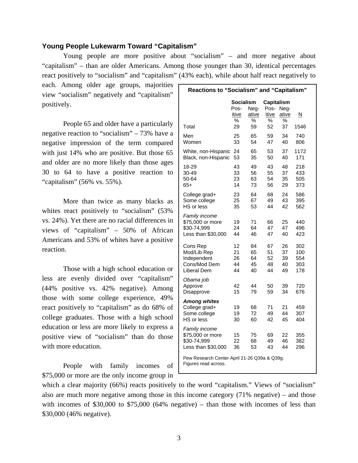# **Young People Lukewarm Toward "Capitalism"**

 Young people are more positive about "socialism" – and more negative about "capitalism" – than are older Americans. Among those younger than 30, identical percentages react positively to "socialism" and "capitalism" (43% each), while about half react negatively to

each. Among older age groups, majorities view "socialism" negatively and "capitalism" positively.

People 65 and older have a particularly negative reaction to "socialism" – 73% have a negative impression of the term compared with just 14% who are positive. But those 65 and older are no more likely than those ages 30 to 64 to have a positive reaction to "capitalism" (56% vs. 55%).

More than twice as many blacks as whites react positively to "socialism" (53%) vs. 24%). Yet there are no racial differences in views of "capitalism" – 50% of African Americans and 53% of whites have a positive reaction.

Those with a high school education or less are evenly divided over "capitalism" (44% positive vs. 42% negative). Among those with some college experience, 49% react positively to "capitalism" as do 68% of college graduates. Those with a high school education or less are more likely to express a positive view of "socialism" than do those with more education.

People with family incomes of \$75,000 or more are the only income group in

| Reactions to "Socialism" and "Capitalism"                              |                                              |                            |                                        |                            |                                 |  |  |
|------------------------------------------------------------------------|----------------------------------------------|----------------------------|----------------------------------------|----------------------------|---------------------------------|--|--|
| Total                                                                  | <b>Socialism</b><br>Pos-<br>itive<br>%<br>29 | Neg-<br>ative<br>%<br>59   | Capitalism<br>Pos-<br>itive<br>%<br>52 | Nea-<br>ative<br>%<br>37   | <u>N</u><br>1546                |  |  |
| Men<br>Women                                                           | 25<br>33                                     | 65<br>54                   | 59<br>47                               | 34<br>40                   | 740<br>806                      |  |  |
| White, non-Hispanic<br>Black, non-Hispanic                             | 24<br>53                                     | 65<br>35                   | 53<br>50                               | 37<br>40                   | 1172<br>171                     |  |  |
| 18-29<br>30-49<br>50-64<br>$65+$                                       | 43<br>33<br>23<br>14                         | 49<br>56<br>63<br>73       | 43<br>55<br>54<br>56                   | 48<br>37<br>35<br>29       | 218<br>433<br>505<br>373        |  |  |
| College grad+<br>Some college<br>HS or less                            | 23<br>25<br>35                               | 64<br>67<br>53             | 68<br>49<br>44                         | 24<br>43<br>42             | 586<br>395<br>562               |  |  |
| Family income<br>\$75,000 or more<br>\$30-74,999<br>Less than \$30,000 | 19<br>24<br>44                               | 71<br>64<br>46             | 66<br>47<br>47                         | 25<br>47<br>40             | 440<br>496<br>423               |  |  |
| Cons Rep<br>Mod/Lib Rep<br>Independent<br>Cons/Mod Dem<br>Liberal Dem  | 12<br>21<br>26<br>44<br>44                   | 84<br>65<br>64<br>45<br>40 | 67<br>51<br>52<br>48<br>44             | 26<br>37<br>39<br>40<br>49 | 302<br>100<br>554<br>303<br>178 |  |  |
| Obama job<br>Approve<br>Disapprove                                     | 42<br>15                                     | 44<br>79                   | 50<br>59                               | 39<br>34                   | 720<br>676                      |  |  |
| <b>Among whites</b><br>College grad+<br>Some college<br>HS or less     | 19<br>19<br>30                               | 68<br>72<br>60             | 71<br>49<br>42                         | 21<br>44<br>45             | 459<br>307<br>404               |  |  |
| Family income<br>\$75,000 or more<br>\$30-74,999<br>Less than \$30,000 | 15<br>22<br>36                               | 75<br>68<br>53             | 69<br>49<br>43                         | 22<br>46<br>44             | 355<br>382<br>296               |  |  |
| Pew Research Center April 21-26 Q39a & Q39g.<br>Figures read across.   |                                              |                            |                                        |                            |                                 |  |  |

which a clear majority (66%) reacts positively to the word "capitalism." Views of "socialism" also are much more negative among those in this income category (71% negative) – and those with incomes of \$30,000 to \$75,000 (64% negative) – than those with incomes of less than \$30,000 (46% negative).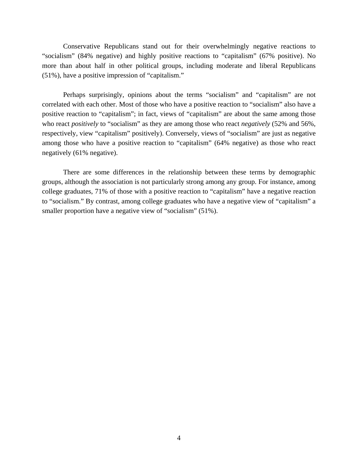Conservative Republicans stand out for their overwhelmingly negative reactions to "socialism" (84% negative) and highly positive reactions to "capitalism" (67% positive). No more than about half in other political groups, including moderate and liberal Republicans (51%), have a positive impression of "capitalism."

Perhaps surprisingly, opinions about the terms "socialism" and "capitalism" are not correlated with each other. Most of those who have a positive reaction to "socialism" also have a positive reaction to "capitalism"; in fact, views of "capitalism" are about the same among those who react *positively* to "socialism" as they are among those who react *negatively* (52% and 56%, respectively, view "capitalism" positively). Conversely, views of "socialism" are just as negative among those who have a positive reaction to "capitalism" (64% negative) as those who react negatively (61% negative).

There are some differences in the relationship between these terms by demographic groups, although the association is not particularly strong among any group. For instance, among college graduates, 71% of those with a positive reaction to "capitalism" have a negative reaction to "socialism." By contrast, among college graduates who have a negative view of "capitalism" a smaller proportion have a negative view of "socialism" (51%).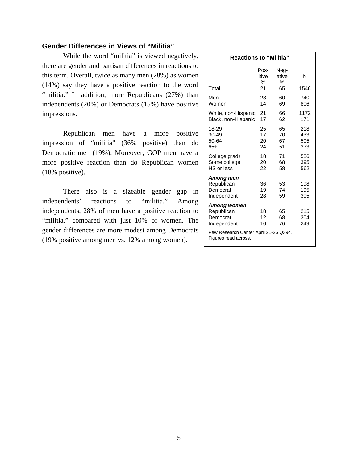# **Gender Differences in Views of "Militia"**

While the word "militia" is viewed negatively, there are gender and partisan differences in reactions to this term. Overall, twice as many men (28%) as women (14%) say they have a positive reaction to the word "militia." In addition, more Republicans (27%) than independents (20%) or Democrats (15%) have positive impressions.

Republican men have a more positive impression of "militia" (36% positive) than do Democratic men (19%). Moreover, GOP men have a more positive reaction than do Republican women (18% positive).

There also is a sizeable gender gap in independents' reactions to "militia." Among independents, 28% of men have a positive reaction to "militia," compared with just 10% of women. The gender differences are more modest among Democrats (19% positive among men vs. 12% among women).

| <b>Reactions to "Militia"</b>                                                                 |                      |                      |                          |  |  |  |  |
|-----------------------------------------------------------------------------------------------|----------------------|----------------------|--------------------------|--|--|--|--|
|                                                                                               | Pos-<br>itive<br>%   | Neg-<br>ative<br>%   | N                        |  |  |  |  |
| Total                                                                                         | 21                   | 65                   | 1546                     |  |  |  |  |
| Men<br>Women                                                                                  | 28<br>14             | 60<br>69             | 740<br>806               |  |  |  |  |
| White, non-Hispanic<br>Black, non-Hispanic                                                    | 21<br>17             | 66<br>62             | 1172<br>171              |  |  |  |  |
| 18-29<br>30-49<br>50-64<br>$65+$                                                              | 25<br>17<br>20<br>24 | 65<br>70<br>67<br>51 | 218<br>433<br>505<br>373 |  |  |  |  |
| College grad+<br>Some college<br>HS or less                                                   | 18<br>20<br>22       | 71<br>68<br>58       | 586<br>395<br>562        |  |  |  |  |
| Among men<br>Republican<br>Democrat<br>Independent                                            | 36<br>19<br>28       | 53<br>74<br>59       | 198<br>195<br>305        |  |  |  |  |
| Among women<br>Republican<br>Democrat<br>Independent<br>Pew Research Center April 21-26 Q39c. | 18<br>12<br>10       | 65<br>68<br>76       | 215<br>304<br>249        |  |  |  |  |
| Figures read across.                                                                          |                      |                      |                          |  |  |  |  |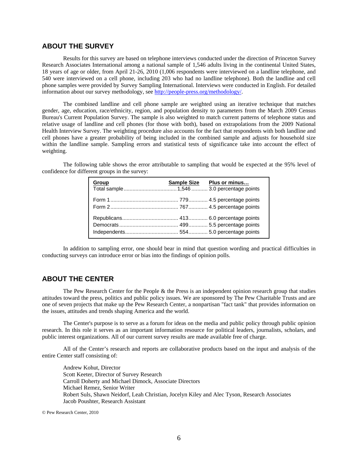# **ABOUT THE SURVEY**

Results for this survey are based on telephone interviews conducted under the direction of Princeton Survey Research Associates International among a national sample of 1,546 adults living in the continental United States, 18 years of age or older, from April 21-26, 2010 (1,006 respondents were interviewed on a landline telephone, and 540 were interviewed on a cell phone, including 203 who had no landline telephone). Both the landline and cell phone samples were provided by Survey Sampling International. Interviews were conducted in English. For detailed information about our survey methodology, see http://people-press.org/methodology/.

The combined landline and cell phone sample are weighted using an iterative technique that matches gender, age, education, race/ethnicity, region, and population density to parameters from the March 2009 Census Bureau's Current Population Survey. The sample is also weighted to match current patterns of telephone status and relative usage of landline and cell phones (for those with both), based on extrapolations from the 2009 National Health Interview Survey. The weighting procedure also accounts for the fact that respondents with both landline and cell phones have a greater probability of being included in the combined sample and adjusts for household size within the landline sample. Sampling errors and statistical tests of significance take into account the effect of weighting.

The following table shows the error attributable to sampling that would be expected at the 95% level of confidence for different groups in the survey:

| Group | Sample Size Plus or minus |
|-------|---------------------------|
|       |                           |
|       |                           |

In addition to sampling error, one should bear in mind that question wording and practical difficulties in conducting surveys can introduce error or bias into the findings of opinion polls.

## **ABOUT THE CENTER**

 The Pew Research Center for the People & the Press is an independent opinion research group that studies attitudes toward the press, politics and public policy issues. We are sponsored by The Pew Charitable Trusts and are one of seven projects that make up the Pew Research Center, a nonpartisan "fact tank" that provides information on the issues, attitudes and trends shaping America and the world.

 The Center's purpose is to serve as a forum for ideas on the media and public policy through public opinion research. In this role it serves as an important information resource for political leaders, journalists, scholars, and public interest organizations. All of our current survey results are made available free of charge.

 All of the Center's research and reports are collaborative products based on the input and analysis of the entire Center staff consisting of:

 Andrew Kohut, Director Scott Keeter, Director of Survey Research Carroll Doherty and Michael Dimock, Associate Directors Michael Remez, Senior Writer Robert Suls, Shawn Neidorf, Leah Christian, Jocelyn Kiley and Alec Tyson, Research Associates Jacob Poushter, Research Assistant

© Pew Research Center, 2010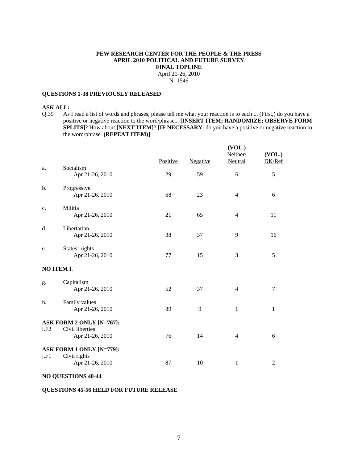#### **PEW RESEARCH CENTER FOR THE PEOPLE & THE PRESS APRIL 2010 POLITICAL AND FUTURE SURVEY FINAL TOPLINE**  April 21-26, 2010 N=1546

#### **QUESTIONS 1-38 PREVIOUSLY RELEASED**

#### **ASK ALL:**

Q.39 As I read a list of words and phrases, please tell me what your reaction is to each ... (First,) do you have a positive or negative reaction to the word/phrase... **[INSERT ITEM; RANDOMIZE; OBSERVE FORM SPLITS**]? How about **[NEXT ITEM**]? **[IF NECESSARY**: do you have a positive or negative reaction to the word/phrase **(REPEAT ITEM)]**

|      |                                    | Positive | Negative | (VOL.)<br>Neither/<br>Neutral | (VOL.)<br>DK/Ref |
|------|------------------------------------|----------|----------|-------------------------------|------------------|
| a.   | Socialism<br>Apr 21-26, 2010       | 29       | 59       | $\sqrt{6}$                    | 5                |
| b.   | Progressive<br>Apr 21-26, 2010     | 68       | 23       | $\overline{4}$                | 6                |
| c.   | Militia<br>Apr 21-26, 2010         | 21       | 65       | $\overline{4}$                | 11               |
| d.   | Libertarian<br>Apr 21-26, 2010     | 38       | 37       | 9                             | 16               |
| e.   | States' rights<br>Apr 21-26, 2010  | 77       | 15       | 3                             | 5                |
|      | NO ITEM f.                         |          |          |                               |                  |
| g.   | Capitalism<br>Apr 21-26, 2010      | 52       | 37       | $\overline{4}$                | $\tau$           |
| h.   | Family values<br>Apr 21-26, 2010   | 89       | 9        | $\mathbf{1}$                  | 1                |
|      | ASK FORM 2 ONLY [N=767]:           |          |          |                               |                  |
| i.F2 | Civil liberties<br>Apr 21-26, 2010 | 76       | 14       | $\overline{4}$                | 6                |
|      | ASK FORM 1 ONLY [N=779]:           |          |          |                               |                  |
| i.F1 | Civil rights<br>Apr 21-26, 2010    | 87       | 10       | $\mathbf{1}$                  | $\overline{c}$   |

### **NO QUESTIONS 40-44**

#### **QUESTIONS 45-56 HELD FOR FUTURE RELEASE**